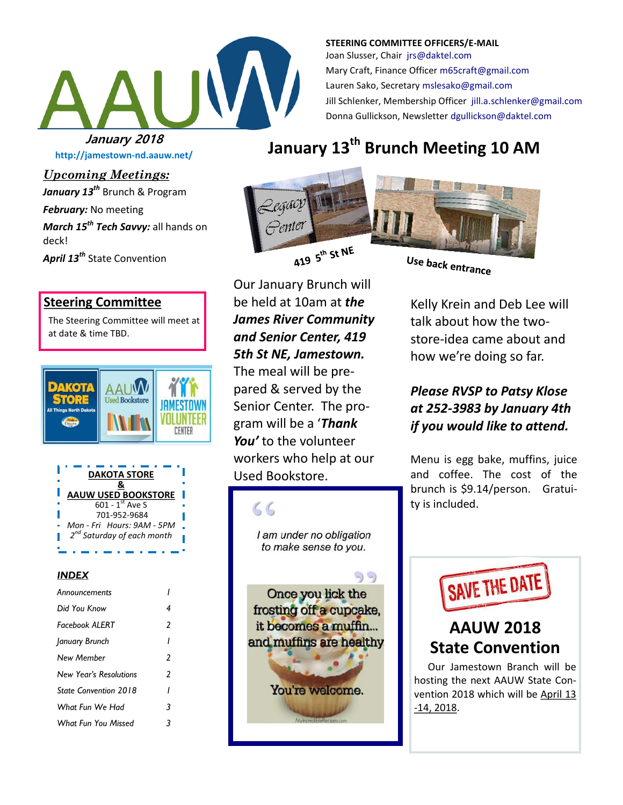

**STEERING COMMITTEE OFFICERS/E-MAIL** Joan Slusser, Chair [jrs@daktel.com](mailto:jrs@daktel.com) Mary Craft, Finance Officer [m65craft@gmail.com](mailto:m65craft@gmail.com) Lauren Sako, Secretary [mslesako@gmail.com](mailto:mslesako@gmail.com) Jill Schlenker, Membership Officer [jill.a.schlenker@gmail.com](mailto:jill.a.schlenker@gmail.com) Donna Gullickson, Newsletter [dgullickson@daktel.com](mailto:dgullickson@daktel.com)

**http://jamestown-nd.aauw.net/** 

*Upcoming Meetings:*

*January 13th* Brunch & Program

*February:* No meeting

*March 15th Tech Savvy:* all hands on deck!

*April 13th* State Convention

#### **Steering Committee**

The Steering Committee will meet at at date & time TBD.



| <b>DAKOTA STORE</b>                    |
|----------------------------------------|
|                                        |
| <b>AAUW USED BOOKSTORE</b>             |
| $601 - 1$ <sup>st</sup> Ave S          |
| 701-952-9684                           |
| Mon - Fri Hours: 9AM - 5PM             |
| 2 <sup>nd</sup> Saturday of each month |
|                                        |

#### *INDEX*

| Announcements          |   |  |
|------------------------|---|--|
| Did You Know           | 4 |  |
| <b>Facebook ALFRT</b>  |   |  |
| January Brunch<br>ı    |   |  |
| New Member             | 2 |  |
| New Year's Resolutions | 2 |  |
| State Convention 2018  |   |  |
| What Fun We Had<br>3   |   |  |
| What Fun You Missed    |   |  |
|                        |   |  |

# **January 13th Brunch Meeting 10 AM January 2018**



Our January Brunch will be held at 10am at *the James River Community and Senior Center, 419 5th St NE, Jamestown.* The meal will be prepared & served by the Senior Center. The program will be a '*Thank You'* to the volunteer workers who help at our Used Bookstore.



Use back entrance

Kelly Krein and Deb Lee will talk about how the twostore-idea came about and how we're doing so far.

### *Please RVSP to Patsy Klose at 252-3983 by January 4th if you would like to attend.*

Menu is egg bake, muffins, juice and coffee. The cost of the brunch is \$9.14/person. Gratuity is included.



## **AAUW 2018 State Convention**

Our Jamestown Branch will be hosting the next AAUW State Convention 2018 which will be April 13 -14, 2018.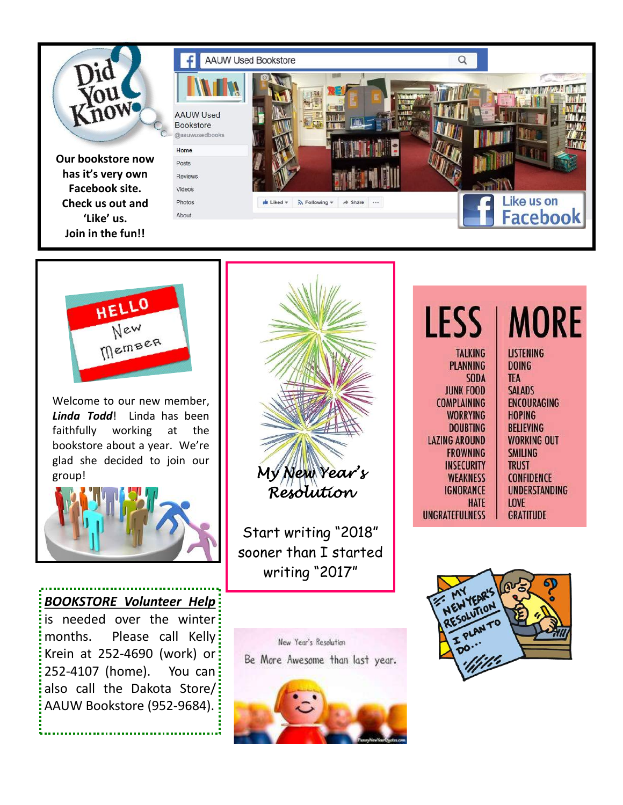



Welcome to our new member, *Linda Todd*! Linda has been faithfully working at the bookstore about a year. We're glad she decided to join our group!



*BOOKSTORE Volunteer Help*  is needed over the winter months. Please call Kelly: Krein at 252-4690 (work) or 252-4107 (home). You can also call the Dakota Store/: AAUW Bookstore (952-9684).



Start writing "2018" sooner than I started writing "2017"

New Year's Resolution Be More Awesome than last year.



| <b>LESS</b>          | <b>MORE</b>          |
|----------------------|----------------------|
| <b>TALKING</b>       | <b>LISTENING</b>     |
| <b>PLANNING</b>      | <b>DOING</b>         |
| <b>SODA</b>          | TEA                  |
| <b>JUNK FOOD</b>     | <b>SALADS</b>        |
| <b>COMPLAINING</b>   | <b>ENCOURAGING</b>   |
| <b>WORRYING</b>      | <b>HOPING</b>        |
| <b>DOUBTING</b>      | <b>BELIEVING</b>     |
| <b>LAZING AROUND</b> | <b>WORKING OUT</b>   |
| <b>FROWNING</b>      | <b>SMILING</b>       |
| <b>INSECURITY</b>    | <b>TRUST</b>         |
| <b>WEAKNESS</b>      | <b>CONFIDENCE</b>    |
| <b>IGNORANCE</b>     | <b>UNDERSTANDING</b> |
| HATE                 | <b>LOVE</b>          |
| UNGRATEFULNESS       | <b>GRATITUDE</b>     |

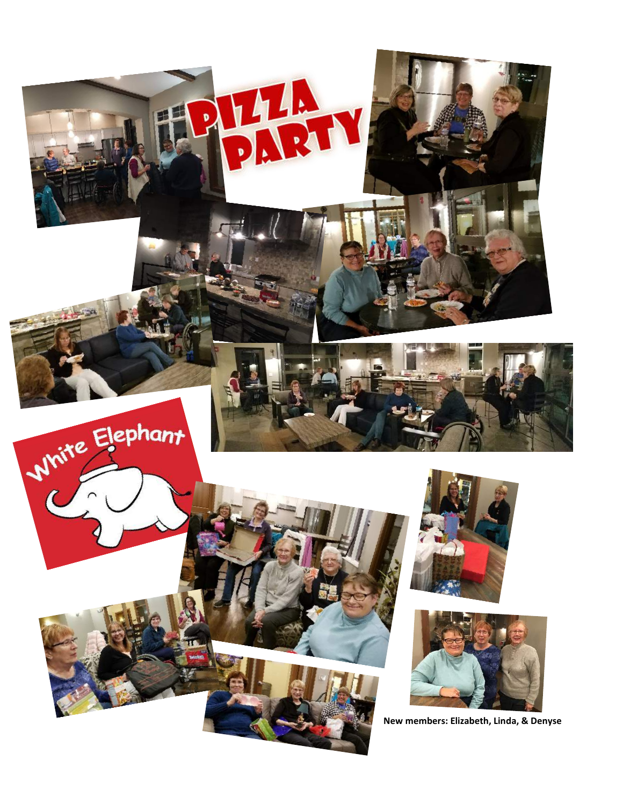